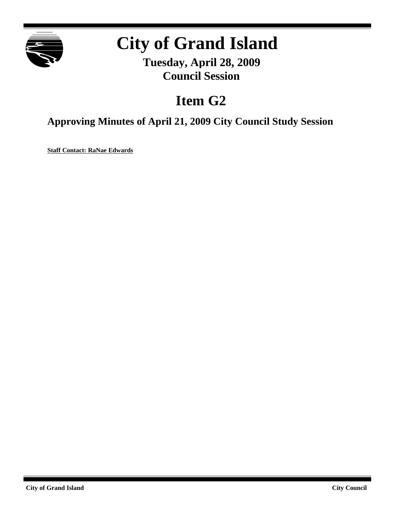

# **City of Grand Island**

**Tuesday, April 28, 2009 Council Session**

## **Item G2**

**Approving Minutes of April 21, 2009 City Council Study Session**

**Staff Contact: RaNae Edwards**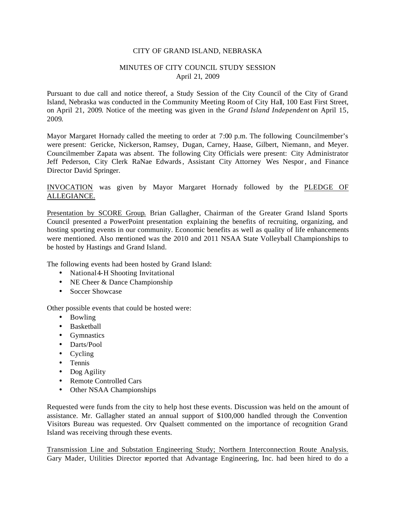#### CITY OF GRAND ISLAND, NEBRASKA

#### MINUTES OF CITY COUNCIL STUDY SESSION April 21, 2009

Pursuant to due call and notice thereof, a Study Session of the City Council of the City of Grand Island, Nebraska was conducted in the Community Meeting Room of City Hall, 100 East First Street, on April 21, 2009. Notice of the meeting was given in the *Grand Island Independent* on April 15, 2009.

Mayor Margaret Hornady called the meeting to order at 7:00 p.m. The following Councilmember's were present: Gericke, Nickerson, Ramsey, Dugan, Carney, Haase, Gilbert, Niemann, and Meyer. Councilmember Zapata was absent. The following City Officials were present: City Administrator Jeff Pederson, City Clerk RaNae Edwards, Assistant City Attorney Wes Nespor, and Finance Director David Springer.

### INVOCATION was given by Mayor Margaret Hornady followed by the PLEDGE OF ALLEGIANCE.

Presentation by SCORE Group. Brian Gallagher, Chairman of the Greater Grand Island Sports Council presented a PowerPoint presentation explaining the benefits of recruiting, organizing, and hosting sporting events in our community. Economic benefits as well as quality of life enhancements were mentioned. Also mentioned was the 2010 and 2011 NSAA State Volleyball Championships to be hosted by Hastings and Grand Island.

The following events had been hosted by Grand Island:

- National 4-H Shooting Invitational
- NE Cheer & Dance Championship
- Soccer Showcase

Other possible events that could be hosted were:

- Bowling
- Basketball
- Gymnastics
- Darts/Pool
- Cycling
- Tennis
- Dog Agility
- Remote Controlled Cars
- Other NSAA Championships

Requested were funds from the city to help host these events. Discussion was held on the amount of assistance. Mr. Gallagher stated an annual support of \$100,000 handled through the Convention Visitors Bureau was requested. Orv Qualsett commented on the importance of recognition Grand Island was receiving through these events.

Transmission Line and Substation Engineering Study; Northern Interconnection Route Analysis. Gary Mader, Utilities Director reported that Advantage Engineering, Inc. had been hired to do a